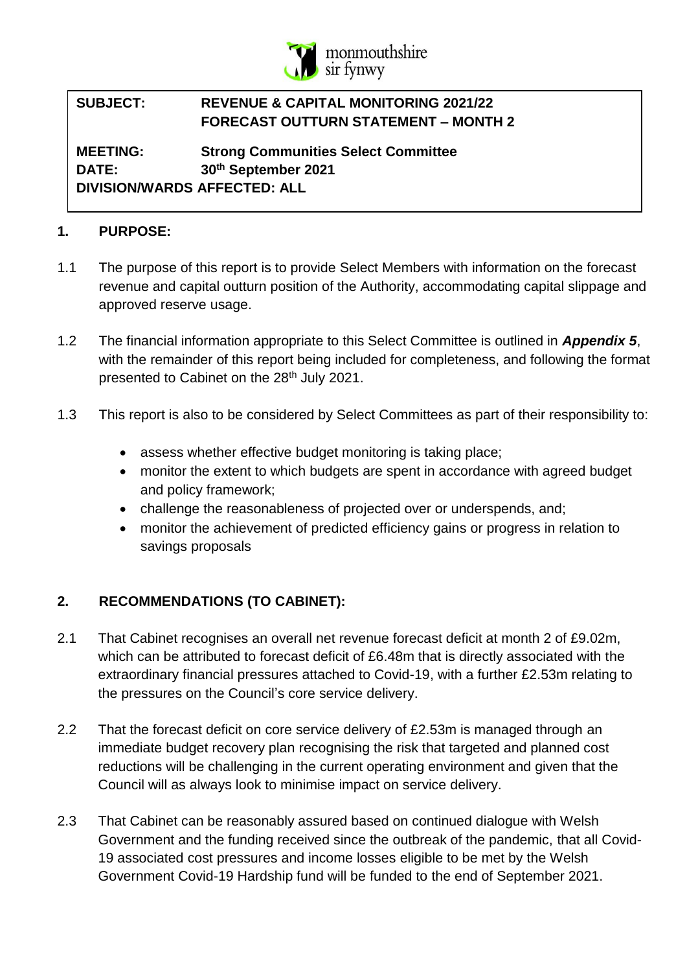

# **SUBJECT: REVENUE & CAPITAL MONITORING 2021/22 FORECAST OUTTURN STATEMENT – MONTH 2**

**MEETING: Strong Communities Select Committee DATE: 30th September 2021 DIVISION/WARDS AFFECTED: ALL**

### **1. PURPOSE:**

- 1.1 The purpose of this report is to provide Select Members with information on the forecast revenue and capital outturn position of the Authority, accommodating capital slippage and approved reserve usage.
- 1.2 The financial information appropriate to this Select Committee is outlined in *Appendix 5*, with the remainder of this report being included for completeness, and following the format presented to Cabinet on the 28<sup>th</sup> July 2021.
- 1.3 This report is also to be considered by Select Committees as part of their responsibility to:
	- assess whether effective budget monitoring is taking place;
	- monitor the extent to which budgets are spent in accordance with agreed budget and policy framework;
	- challenge the reasonableness of projected over or underspends, and;
	- monitor the achievement of predicted efficiency gains or progress in relation to savings proposals

# **2. RECOMMENDATIONS (TO CABINET):**

- 2.1 That Cabinet recognises an overall net revenue forecast deficit at month 2 of £9.02m, which can be attributed to forecast deficit of £6.48m that is directly associated with the extraordinary financial pressures attached to Covid-19, with a further £2.53m relating to the pressures on the Council's core service delivery.
- 2.2 That the forecast deficit on core service delivery of £2.53m is managed through an immediate budget recovery plan recognising the risk that targeted and planned cost reductions will be challenging in the current operating environment and given that the Council will as always look to minimise impact on service delivery.
- 2.3 That Cabinet can be reasonably assured based on continued dialogue with Welsh Government and the funding received since the outbreak of the pandemic, that all Covid-19 associated cost pressures and income losses eligible to be met by the Welsh Government Covid-19 Hardship fund will be funded to the end of September 2021.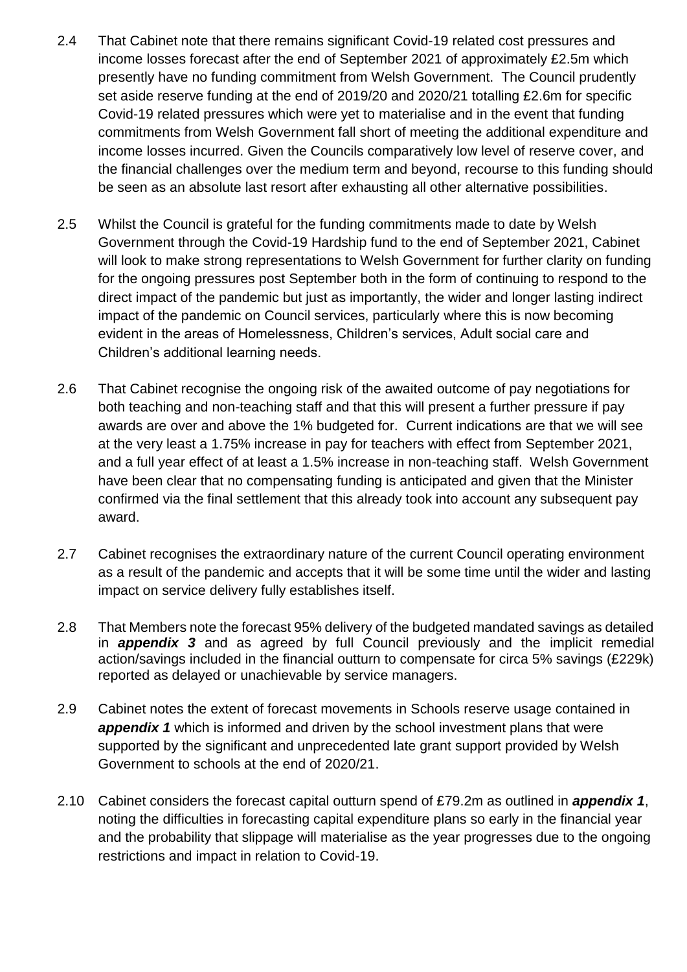- 2.4 That Cabinet note that there remains significant Covid-19 related cost pressures and income losses forecast after the end of September 2021 of approximately £2.5m which presently have no funding commitment from Welsh Government. The Council prudently set aside reserve funding at the end of 2019/20 and 2020/21 totalling £2.6m for specific Covid-19 related pressures which were yet to materialise and in the event that funding commitments from Welsh Government fall short of meeting the additional expenditure and income losses incurred. Given the Councils comparatively low level of reserve cover, and the financial challenges over the medium term and beyond, recourse to this funding should be seen as an absolute last resort after exhausting all other alternative possibilities.
- 2.5 Whilst the Council is grateful for the funding commitments made to date by Welsh Government through the Covid-19 Hardship fund to the end of September 2021, Cabinet will look to make strong representations to Welsh Government for further clarity on funding for the ongoing pressures post September both in the form of continuing to respond to the direct impact of the pandemic but just as importantly, the wider and longer lasting indirect impact of the pandemic on Council services, particularly where this is now becoming evident in the areas of Homelessness, Children's services, Adult social care and Children's additional learning needs.
- 2.6 That Cabinet recognise the ongoing risk of the awaited outcome of pay negotiations for both teaching and non-teaching staff and that this will present a further pressure if pay awards are over and above the 1% budgeted for. Current indications are that we will see at the very least a 1.75% increase in pay for teachers with effect from September 2021, and a full year effect of at least a 1.5% increase in non-teaching staff. Welsh Government have been clear that no compensating funding is anticipated and given that the Minister confirmed via the final settlement that this already took into account any subsequent pay award.
- 2.7 Cabinet recognises the extraordinary nature of the current Council operating environment as a result of the pandemic and accepts that it will be some time until the wider and lasting impact on service delivery fully establishes itself.
- 2.8 That Members note the forecast 95% delivery of the budgeted mandated savings as detailed in *appendix 3* and as agreed by full Council previously and the implicit remedial action/savings included in the financial outturn to compensate for circa 5% savings (£229k) reported as delayed or unachievable by service managers.
- 2.9 Cabinet notes the extent of forecast movements in Schools reserve usage contained in *appendix 1* which is informed and driven by the school investment plans that were supported by the significant and unprecedented late grant support provided by Welsh Government to schools at the end of 2020/21.
- 2.10 Cabinet considers the forecast capital outturn spend of £79.2m as outlined in *appendix 1*, noting the difficulties in forecasting capital expenditure plans so early in the financial year and the probability that slippage will materialise as the year progresses due to the ongoing restrictions and impact in relation to Covid-19.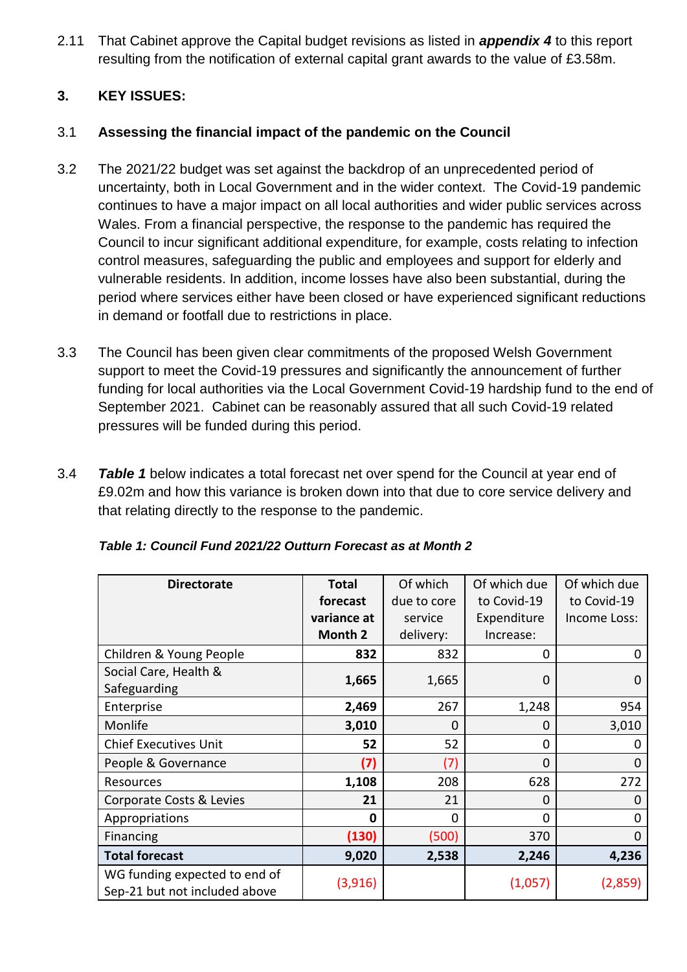2.11 That Cabinet approve the Capital budget revisions as listed in *appendix 4* to this report resulting from the notification of external capital grant awards to the value of £3.58m.

# **3. KEY ISSUES:**

### 3.1 **Assessing the financial impact of the pandemic on the Council**

- 3.2 The 2021/22 budget was set against the backdrop of an unprecedented period of uncertainty, both in Local Government and in the wider context. The Covid-19 pandemic continues to have a major impact on all local authorities and wider public services across Wales. From a financial perspective, the response to the pandemic has required the Council to incur significant additional expenditure, for example, costs relating to infection control measures, safeguarding the public and employees and support for elderly and vulnerable residents. In addition, income losses have also been substantial, during the period where services either have been closed or have experienced significant reductions in demand or footfall due to restrictions in place.
- 3.3 The Council has been given clear commitments of the proposed Welsh Government support to meet the Covid-19 pressures and significantly the announcement of further funding for local authorities via the Local Government Covid-19 hardship fund to the end of September 2021. Cabinet can be reasonably assured that all such Covid-19 related pressures will be funded during this period.
- 3.4 *Table 1* below indicates a total forecast net over spend for the Council at year end of £9.02m and how this variance is broken down into that due to core service delivery and that relating directly to the response to the pandemic.

| <b>Directorate</b>                                             | <b>Total</b> | Of which    | Of which due | Of which due |  |
|----------------------------------------------------------------|--------------|-------------|--------------|--------------|--|
|                                                                | forecast     | due to core | to Covid-19  | to Covid-19  |  |
|                                                                | variance at  | service     | Expenditure  | Income Loss: |  |
|                                                                | Month 2      | delivery:   | Increase:    |              |  |
| Children & Young People                                        | 832          | 832         | $\Omega$     | 0            |  |
| Social Care, Health &                                          |              |             | 0            | $\Omega$     |  |
| Safeguarding                                                   | 1,665        | 1,665       |              |              |  |
| Enterprise                                                     | 2,469        | 267         | 1,248        | 954          |  |
| Monlife                                                        | 3,010        | 0           | 0            | 3,010        |  |
| <b>Chief Executives Unit</b>                                   | 52           | 52          | $\Omega$     | O            |  |
| People & Governance                                            | (7)          | (7)         | $\Omega$     | $\Omega$     |  |
| Resources                                                      | 1,108        | 208         | 628          | 272          |  |
| Corporate Costs & Levies                                       | 21           | 21          | $\Omega$     | 0            |  |
| Appropriations                                                 | O            | 0           | $\Omega$     | 0            |  |
| Financing                                                      | (130)        | (500)       | 370          | 0            |  |
| <b>Total forecast</b>                                          | 9,020        | 2,538       | 2,246        | 4,236        |  |
| WG funding expected to end of<br>Sep-21 but not included above | (3,916)      |             | (1,057)      | (2,859)      |  |

*Table 1: Council Fund 2021/22 Outturn Forecast as at Month 2*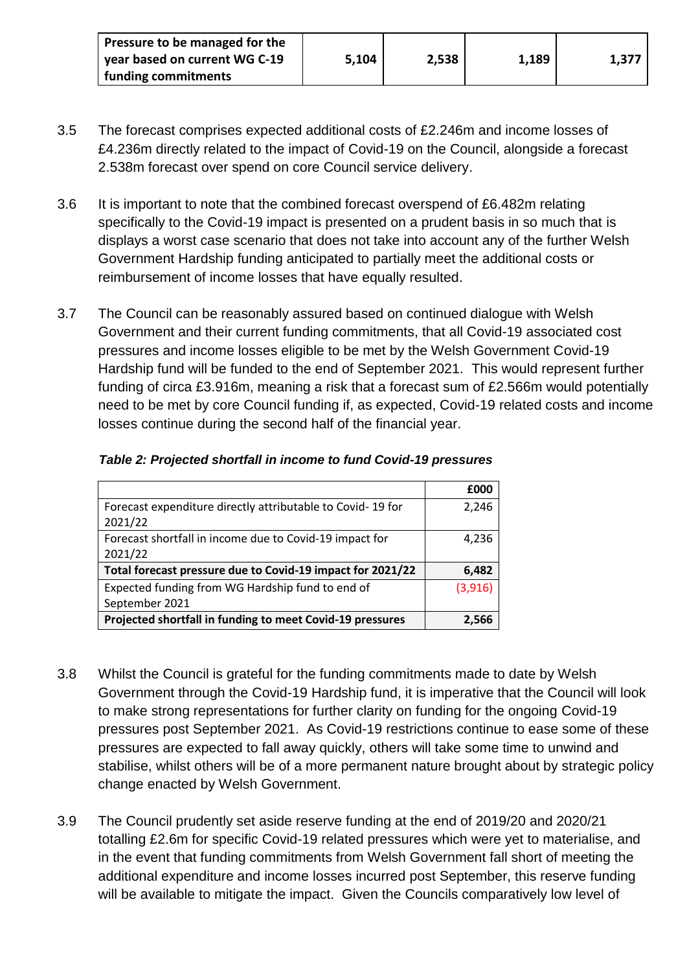| Pressure to be managed for the |       |       |       |       |
|--------------------------------|-------|-------|-------|-------|
| vear based on current WG C-19  | 5,104 | 2,538 | 1,189 | 1,377 |
| funding commitments            |       |       |       |       |

- 3.5 The forecast comprises expected additional costs of £2.246m and income losses of £4.236m directly related to the impact of Covid-19 on the Council, alongside a forecast 2.538m forecast over spend on core Council service delivery.
- 3.6 It is important to note that the combined forecast overspend of £6.482m relating specifically to the Covid-19 impact is presented on a prudent basis in so much that is displays a worst case scenario that does not take into account any of the further Welsh Government Hardship funding anticipated to partially meet the additional costs or reimbursement of income losses that have equally resulted.
- 3.7 The Council can be reasonably assured based on continued dialogue with Welsh Government and their current funding commitments, that all Covid-19 associated cost pressures and income losses eligible to be met by the Welsh Government Covid-19 Hardship fund will be funded to the end of September 2021. This would represent further funding of circa £3.916m, meaning a risk that a forecast sum of £2.566m would potentially need to be met by core Council funding if, as expected, Covid-19 related costs and income losses continue during the second half of the financial year.

|                                                            | £000    |
|------------------------------------------------------------|---------|
| Forecast expenditure directly attributable to Covid-19 for | 2,246   |
| 2021/22                                                    |         |
| Forecast shortfall in income due to Covid-19 impact for    | 4,236   |
| 2021/22                                                    |         |
| Total forecast pressure due to Covid-19 impact for 2021/22 | 6,482   |
| Expected funding from WG Hardship fund to end of           | (3,916) |
| September 2021                                             |         |
| Projected shortfall in funding to meet Covid-19 pressures  | 2.566   |

### *Table 2: Projected shortfall in income to fund Covid-19 pressures*

- 3.8 Whilst the Council is grateful for the funding commitments made to date by Welsh Government through the Covid-19 Hardship fund, it is imperative that the Council will look to make strong representations for further clarity on funding for the ongoing Covid-19 pressures post September 2021. As Covid-19 restrictions continue to ease some of these pressures are expected to fall away quickly, others will take some time to unwind and stabilise, whilst others will be of a more permanent nature brought about by strategic policy change enacted by Welsh Government.
- 3.9 The Council prudently set aside reserve funding at the end of 2019/20 and 2020/21 totalling £2.6m for specific Covid-19 related pressures which were yet to materialise, and in the event that funding commitments from Welsh Government fall short of meeting the additional expenditure and income losses incurred post September, this reserve funding will be available to mitigate the impact. Given the Councils comparatively low level of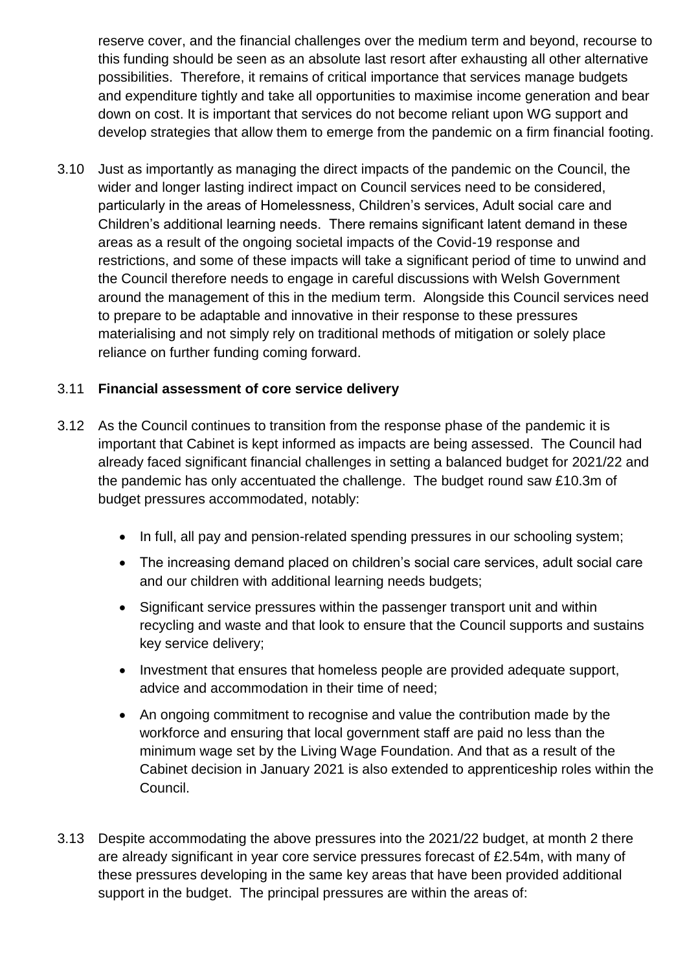reserve cover, and the financial challenges over the medium term and beyond, recourse to this funding should be seen as an absolute last resort after exhausting all other alternative possibilities. Therefore, it remains of critical importance that services manage budgets and expenditure tightly and take all opportunities to maximise income generation and bear down on cost. It is important that services do not become reliant upon WG support and develop strategies that allow them to emerge from the pandemic on a firm financial footing.

3.10 Just as importantly as managing the direct impacts of the pandemic on the Council, the wider and longer lasting indirect impact on Council services need to be considered, particularly in the areas of Homelessness, Children's services, Adult social care and Children's additional learning needs. There remains significant latent demand in these areas as a result of the ongoing societal impacts of the Covid-19 response and restrictions, and some of these impacts will take a significant period of time to unwind and the Council therefore needs to engage in careful discussions with Welsh Government around the management of this in the medium term. Alongside this Council services need to prepare to be adaptable and innovative in their response to these pressures materialising and not simply rely on traditional methods of mitigation or solely place reliance on further funding coming forward.

### 3.11 **Financial assessment of core service delivery**

- 3.12 As the Council continues to transition from the response phase of the pandemic it is important that Cabinet is kept informed as impacts are being assessed. The Council had already faced significant financial challenges in setting a balanced budget for 2021/22 and the pandemic has only accentuated the challenge. The budget round saw £10.3m of budget pressures accommodated, notably:
	- In full, all pay and pension-related spending pressures in our schooling system;
	- The increasing demand placed on children's social care services, adult social care and our children with additional learning needs budgets;
	- Significant service pressures within the passenger transport unit and within recycling and waste and that look to ensure that the Council supports and sustains key service delivery;
	- Investment that ensures that homeless people are provided adequate support, advice and accommodation in their time of need;
	- An ongoing commitment to recognise and value the contribution made by the workforce and ensuring that local government staff are paid no less than the minimum wage set by the Living Wage Foundation. And that as a result of the Cabinet decision in January 2021 is also extended to apprenticeship roles within the Council.
- 3.13 Despite accommodating the above pressures into the 2021/22 budget, at month 2 there are already significant in year core service pressures forecast of £2.54m, with many of these pressures developing in the same key areas that have been provided additional support in the budget. The principal pressures are within the areas of: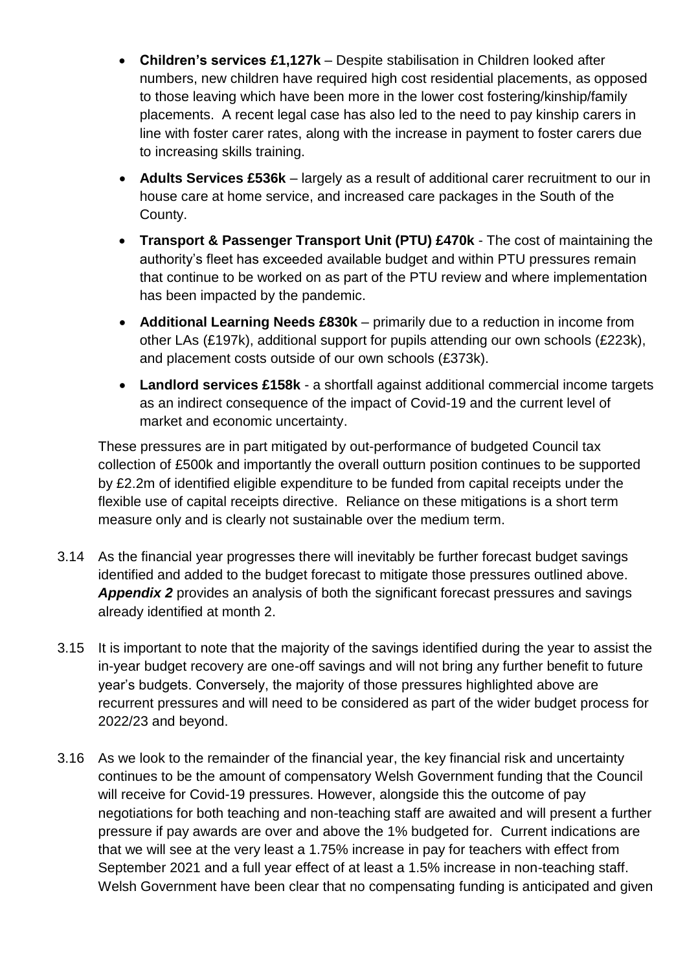- **Children's services £1,127k** Despite stabilisation in Children looked after numbers, new children have required high cost residential placements, as opposed to those leaving which have been more in the lower cost fostering/kinship/family placements. A recent legal case has also led to the need to pay kinship carers in line with foster carer rates, along with the increase in payment to foster carers due to increasing skills training.
- **Adults Services £536k** largely as a result of additional carer recruitment to our in house care at home service, and increased care packages in the South of the County.
- **Transport & Passenger Transport Unit (PTU) £470k** The cost of maintaining the authority's fleet has exceeded available budget and within PTU pressures remain that continue to be worked on as part of the PTU review and where implementation has been impacted by the pandemic.
- **Additional Learning Needs £830k** primarily due to a reduction in income from other LAs (£197k), additional support for pupils attending our own schools (£223k), and placement costs outside of our own schools (£373k).
- **Landlord services £158k** a shortfall against additional commercial income targets as an indirect consequence of the impact of Covid-19 and the current level of market and economic uncertainty.

These pressures are in part mitigated by out-performance of budgeted Council tax collection of £500k and importantly the overall outturn position continues to be supported by £2.2m of identified eligible expenditure to be funded from capital receipts under the flexible use of capital receipts directive. Reliance on these mitigations is a short term measure only and is clearly not sustainable over the medium term.

- 3.14 As the financial year progresses there will inevitably be further forecast budget savings identified and added to the budget forecast to mitigate those pressures outlined above. *Appendix 2* provides an analysis of both the significant forecast pressures and savings already identified at month 2.
- 3.15 It is important to note that the majority of the savings identified during the year to assist the in-year budget recovery are one-off savings and will not bring any further benefit to future year's budgets. Conversely, the majority of those pressures highlighted above are recurrent pressures and will need to be considered as part of the wider budget process for 2022/23 and beyond.
- 3.16 As we look to the remainder of the financial year, the key financial risk and uncertainty continues to be the amount of compensatory Welsh Government funding that the Council will receive for Covid-19 pressures. However, alongside this the outcome of pay negotiations for both teaching and non-teaching staff are awaited and will present a further pressure if pay awards are over and above the 1% budgeted for. Current indications are that we will see at the very least a 1.75% increase in pay for teachers with effect from September 2021 and a full year effect of at least a 1.5% increase in non-teaching staff. Welsh Government have been clear that no compensating funding is anticipated and given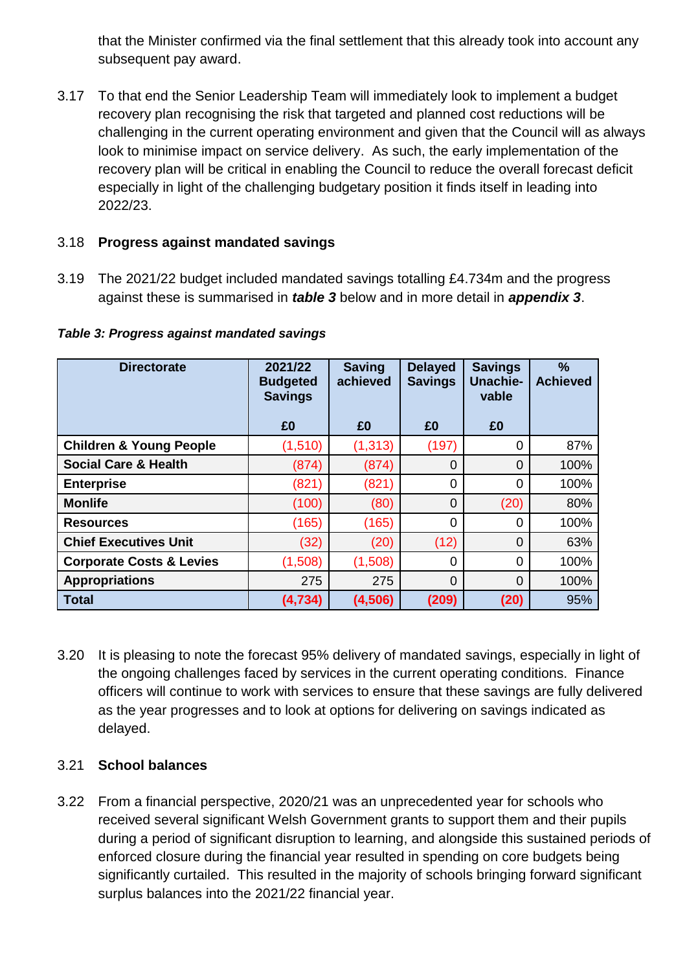that the Minister confirmed via the final settlement that this already took into account any subsequent pay award.

3.17 To that end the Senior Leadership Team will immediately look to implement a budget recovery plan recognising the risk that targeted and planned cost reductions will be challenging in the current operating environment and given that the Council will as always look to minimise impact on service delivery. As such, the early implementation of the recovery plan will be critical in enabling the Council to reduce the overall forecast deficit especially in light of the challenging budgetary position it finds itself in leading into 2022/23.

### 3.18 **Progress against mandated savings**

3.19 The 2021/22 budget included mandated savings totalling £4.734m and the progress against these is summarised in *table 3* below and in more detail in *appendix 3*.

| <b>Directorate</b>                  | 2021/22<br><b>Budgeted</b><br><b>Savings</b> | <b>Saving</b><br>achieved | <b>Delayed</b><br><b>Savings</b> | <b>Savings</b><br><b>Unachie-</b><br>vable | %<br><b>Achieved</b> |
|-------------------------------------|----------------------------------------------|---------------------------|----------------------------------|--------------------------------------------|----------------------|
|                                     | £0                                           | £0                        | £0                               | £0                                         |                      |
| <b>Children &amp; Young People</b>  | (1,510)                                      | (1, 313)                  | (197)                            | 0                                          | 87%                  |
| <b>Social Care &amp; Health</b>     | (874)                                        | (874)                     | $\Omega$                         | $\overline{0}$                             | 100%                 |
| <b>Enterprise</b>                   | (821)                                        | (821)                     | 0                                | 0                                          | 100%                 |
| <b>Monlife</b>                      | (100)                                        | (80)                      | 0                                | (20)                                       | 80%                  |
| <b>Resources</b>                    | (165)                                        | (165)                     | 0                                | 0                                          | 100%                 |
| <b>Chief Executives Unit</b>        | (32)                                         | (20)                      | (12)                             | $\mathbf 0$                                | 63%                  |
| <b>Corporate Costs &amp; Levies</b> | (1,508)                                      | (1,508)                   | 0                                | $\overline{0}$                             | 100%                 |
| <b>Appropriations</b>               | 275                                          | 275                       | $\Omega$                         | $\overline{0}$                             | 100%                 |
| <b>Total</b>                        | (4,734)                                      | (4,506)                   | (209)                            | (20)                                       | 95%                  |

*Table 3: Progress against mandated savings*

3.20 It is pleasing to note the forecast 95% delivery of mandated savings, especially in light of the ongoing challenges faced by services in the current operating conditions. Finance officers will continue to work with services to ensure that these savings are fully delivered as the year progresses and to look at options for delivering on savings indicated as delayed.

# 3.21 **School balances**

3.22 From a financial perspective, 2020/21 was an unprecedented year for schools who received several significant Welsh Government grants to support them and their pupils during a period of significant disruption to learning, and alongside this sustained periods of enforced closure during the financial year resulted in spending on core budgets being significantly curtailed. This resulted in the majority of schools bringing forward significant surplus balances into the 2021/22 financial year.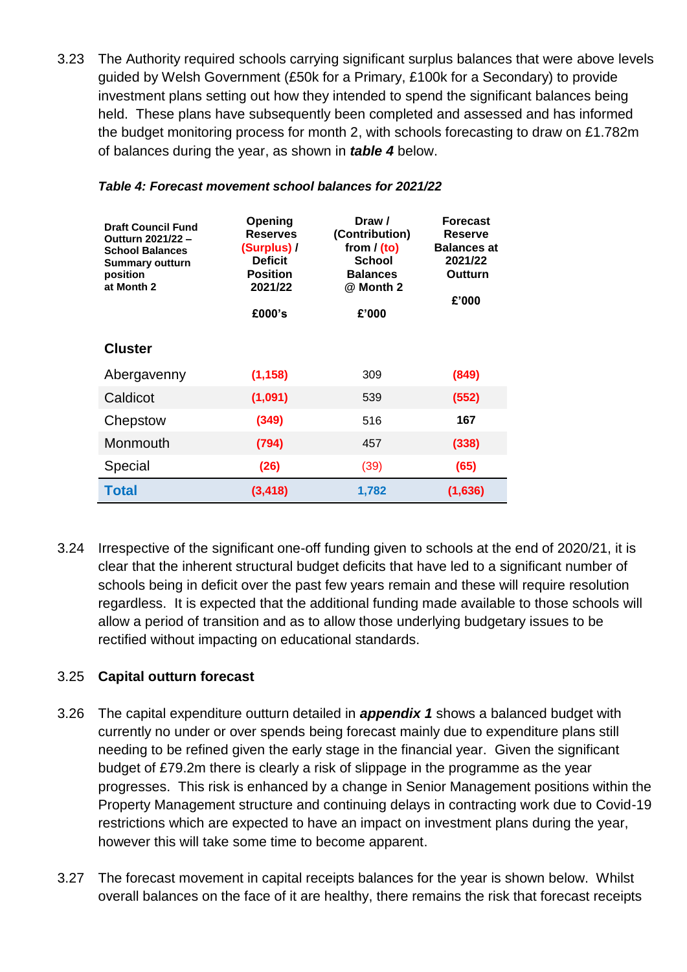3.23 The Authority required schools carrying significant surplus balances that were above levels guided by Welsh Government (£50k for a Primary, £100k for a Secondary) to provide investment plans setting out how they intended to spend the significant balances being held. These plans have subsequently been completed and assessed and has informed the budget monitoring process for month 2, with schools forecasting to draw on £1.782m of balances during the year, as shown in *table 4* below.

| <b>Draft Council Fund</b><br>Outturn 2021/22 -<br><b>School Balances</b><br><b>Summary outturn</b><br>position<br>at Month 2 | Opening<br><b>Reserves</b><br>(Surplus) /<br><b>Deficit</b><br><b>Position</b><br>2021/22<br>£000's | Draw /<br>(Contribution)<br>from $/$ (to)<br><b>School</b><br><b>Balances</b><br>@ Month 2<br>£'000 | <b>Forecast</b><br>Reserve<br><b>Balances at</b><br>2021/22<br>Outturn<br>£'000 |
|------------------------------------------------------------------------------------------------------------------------------|-----------------------------------------------------------------------------------------------------|-----------------------------------------------------------------------------------------------------|---------------------------------------------------------------------------------|
| <b>Cluster</b>                                                                                                               |                                                                                                     |                                                                                                     |                                                                                 |
| Abergavenny                                                                                                                  | (1, 158)                                                                                            | 309                                                                                                 | (849)                                                                           |
| Caldicot                                                                                                                     | (1,091)                                                                                             | 539                                                                                                 | (552)                                                                           |
| Chepstow                                                                                                                     | (349)                                                                                               | 516                                                                                                 | 167                                                                             |
| Monmouth                                                                                                                     | (794)                                                                                               | 457                                                                                                 | (338)                                                                           |
| Special                                                                                                                      | (26)                                                                                                | (39)                                                                                                | (65)                                                                            |
| <b>Total</b>                                                                                                                 | (3, 418)                                                                                            | 1,782                                                                                               | (1,636)                                                                         |

#### *Table 4: Forecast movement school balances for 2021/22*

3.24 Irrespective of the significant one-off funding given to schools at the end of 2020/21, it is clear that the inherent structural budget deficits that have led to a significant number of schools being in deficit over the past few years remain and these will require resolution regardless. It is expected that the additional funding made available to those schools will allow a period of transition and as to allow those underlying budgetary issues to be rectified without impacting on educational standards.

### 3.25 **Capital outturn forecast**

- 3.26 The capital expenditure outturn detailed in *appendix 1* shows a balanced budget with currently no under or over spends being forecast mainly due to expenditure plans still needing to be refined given the early stage in the financial year. Given the significant budget of £79.2m there is clearly a risk of slippage in the programme as the year progresses. This risk is enhanced by a change in Senior Management positions within the Property Management structure and continuing delays in contracting work due to Covid-19 restrictions which are expected to have an impact on investment plans during the year, however this will take some time to become apparent.
- 3.27 The forecast movement in capital receipts balances for the year is shown below. Whilst overall balances on the face of it are healthy, there remains the risk that forecast receipts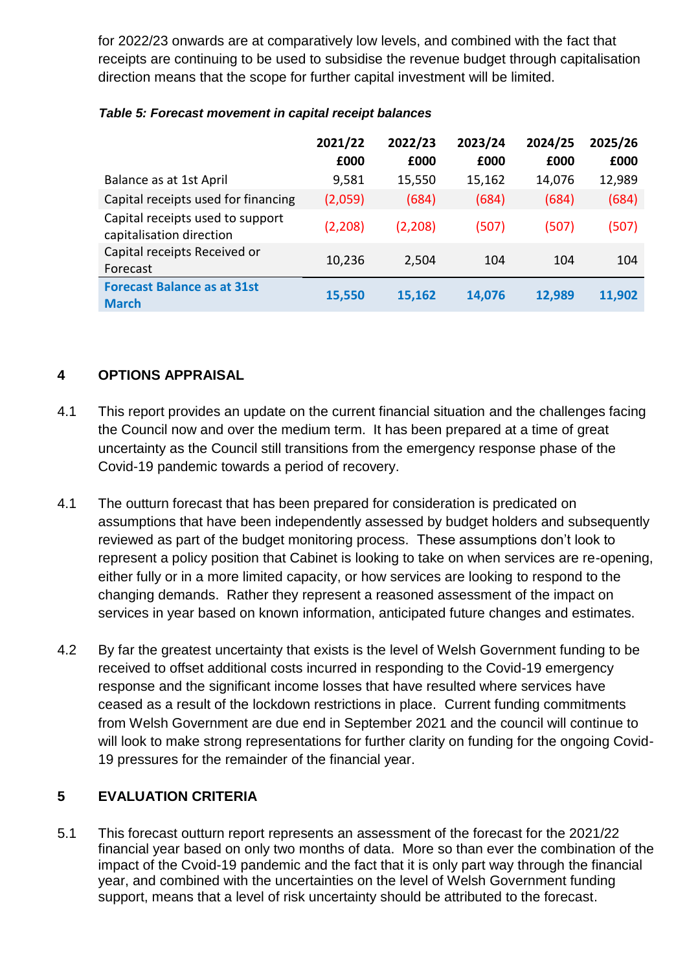for 2022/23 onwards are at comparatively low levels, and combined with the fact that receipts are continuing to be used to subsidise the revenue budget through capitalisation direction means that the scope for further capital investment will be limited.

|                                                              | 2021/22<br>£000 | 2022/23<br>£000 | 2023/24<br>£000 | 2024/25<br>£000 | 2025/26<br>£000 |
|--------------------------------------------------------------|-----------------|-----------------|-----------------|-----------------|-----------------|
| Balance as at 1st April                                      | 9,581           | 15,550          | 15,162          | 14,076          | 12,989          |
| Capital receipts used for financing                          | (2,059)         | (684)           | (684)           | (684)           | (684)           |
| Capital receipts used to support<br>capitalisation direction | (2,208)         | (2,208)         | (507)           | (507)           | (507)           |
| Capital receipts Received or<br>Forecast                     | 10,236          | 2,504           | 104             | 104             | 104             |
| <b>Forecast Balance as at 31st</b><br><b>March</b>           | 15,550          | 15,162          | 14,076          | 12,989          | 11,902          |

#### *Table 5: Forecast movement in capital receipt balances*

# **4 OPTIONS APPRAISAL**

- 4.1 This report provides an update on the current financial situation and the challenges facing the Council now and over the medium term. It has been prepared at a time of great uncertainty as the Council still transitions from the emergency response phase of the Covid-19 pandemic towards a period of recovery.
- 4.1 The outturn forecast that has been prepared for consideration is predicated on assumptions that have been independently assessed by budget holders and subsequently reviewed as part of the budget monitoring process. These assumptions don't look to represent a policy position that Cabinet is looking to take on when services are re-opening, either fully or in a more limited capacity, or how services are looking to respond to the changing demands. Rather they represent a reasoned assessment of the impact on services in year based on known information, anticipated future changes and estimates.
- 4.2 By far the greatest uncertainty that exists is the level of Welsh Government funding to be received to offset additional costs incurred in responding to the Covid-19 emergency response and the significant income losses that have resulted where services have ceased as a result of the lockdown restrictions in place. Current funding commitments from Welsh Government are due end in September 2021 and the council will continue to will look to make strong representations for further clarity on funding for the ongoing Covid-19 pressures for the remainder of the financial year.

# **5 EVALUATION CRITERIA**

5.1 This forecast outturn report represents an assessment of the forecast for the 2021/22 financial year based on only two months of data. More so than ever the combination of the impact of the Cvoid-19 pandemic and the fact that it is only part way through the financial year, and combined with the uncertainties on the level of Welsh Government funding support, means that a level of risk uncertainty should be attributed to the forecast.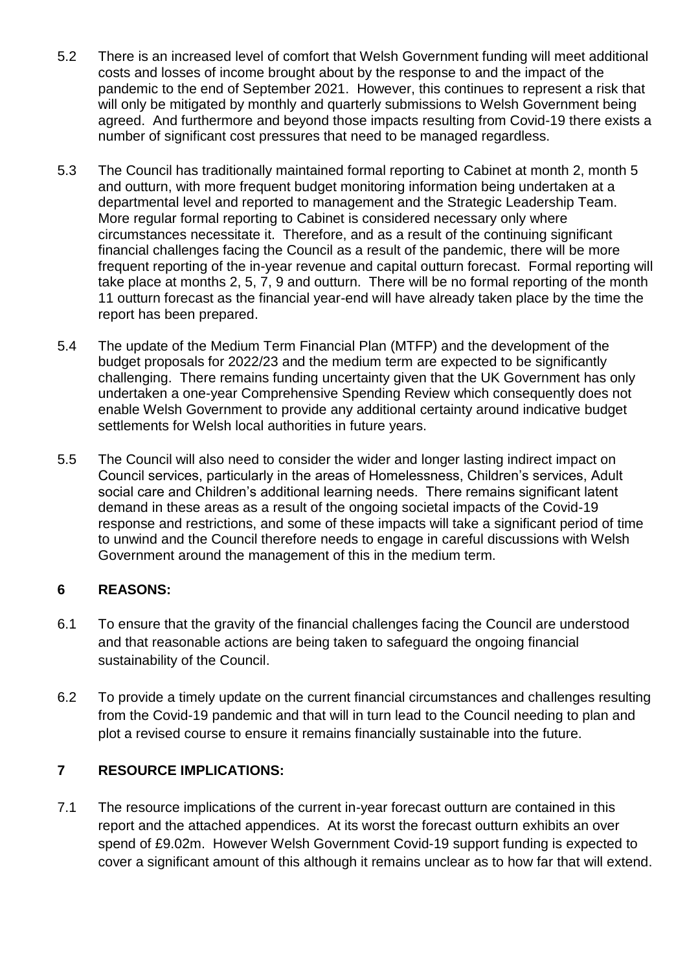- 5.2 There is an increased level of comfort that Welsh Government funding will meet additional costs and losses of income brought about by the response to and the impact of the pandemic to the end of September 2021. However, this continues to represent a risk that will only be mitigated by monthly and quarterly submissions to Welsh Government being agreed. And furthermore and beyond those impacts resulting from Covid-19 there exists a number of significant cost pressures that need to be managed regardless.
- 5.3 The Council has traditionally maintained formal reporting to Cabinet at month 2, month 5 and outturn, with more frequent budget monitoring information being undertaken at a departmental level and reported to management and the Strategic Leadership Team. More regular formal reporting to Cabinet is considered necessary only where circumstances necessitate it. Therefore, and as a result of the continuing significant financial challenges facing the Council as a result of the pandemic, there will be more frequent reporting of the in-year revenue and capital outturn forecast. Formal reporting will take place at months 2, 5, 7, 9 and outturn. There will be no formal reporting of the month 11 outturn forecast as the financial year-end will have already taken place by the time the report has been prepared.
- 5.4 The update of the Medium Term Financial Plan (MTFP) and the development of the budget proposals for 2022/23 and the medium term are expected to be significantly challenging. There remains funding uncertainty given that the UK Government has only undertaken a one-year Comprehensive Spending Review which consequently does not enable Welsh Government to provide any additional certainty around indicative budget settlements for Welsh local authorities in future years.
- 5.5 The Council will also need to consider the wider and longer lasting indirect impact on Council services, particularly in the areas of Homelessness, Children's services, Adult social care and Children's additional learning needs. There remains significant latent demand in these areas as a result of the ongoing societal impacts of the Covid-19 response and restrictions, and some of these impacts will take a significant period of time to unwind and the Council therefore needs to engage in careful discussions with Welsh Government around the management of this in the medium term.

# **6 REASONS:**

- 6.1 To ensure that the gravity of the financial challenges facing the Council are understood and that reasonable actions are being taken to safeguard the ongoing financial sustainability of the Council.
- 6.2 To provide a timely update on the current financial circumstances and challenges resulting from the Covid-19 pandemic and that will in turn lead to the Council needing to plan and plot a revised course to ensure it remains financially sustainable into the future.

# **7 RESOURCE IMPLICATIONS:**

7.1 The resource implications of the current in-year forecast outturn are contained in this report and the attached appendices. At its worst the forecast outturn exhibits an over spend of £9.02m. However Welsh Government Covid-19 support funding is expected to cover a significant amount of this although it remains unclear as to how far that will extend.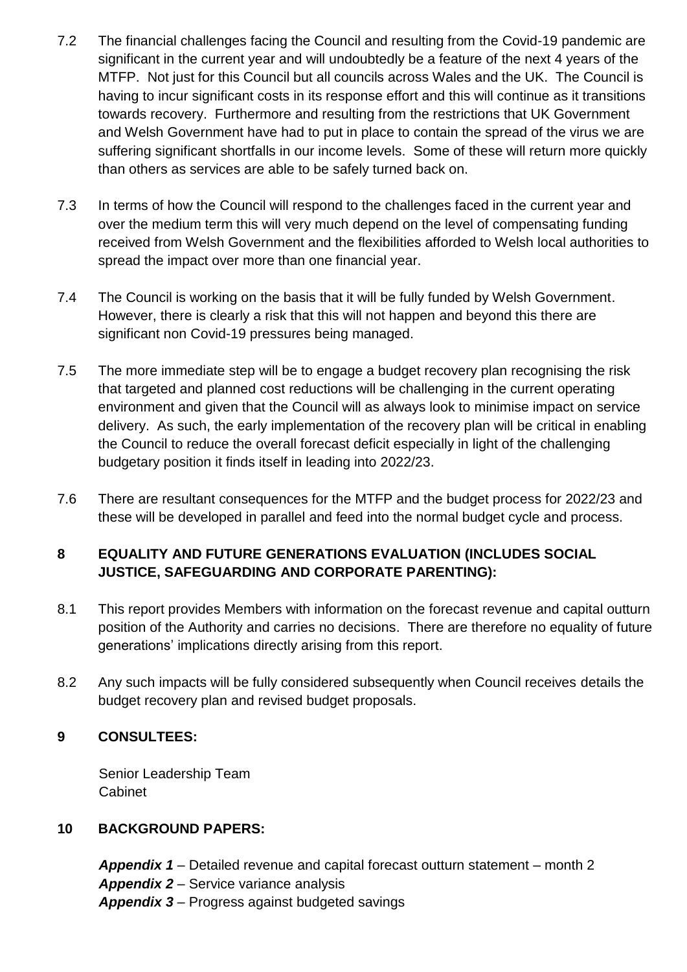- 7.2 The financial challenges facing the Council and resulting from the Covid-19 pandemic are significant in the current year and will undoubtedly be a feature of the next 4 years of the MTFP. Not just for this Council but all councils across Wales and the UK. The Council is having to incur significant costs in its response effort and this will continue as it transitions towards recovery. Furthermore and resulting from the restrictions that UK Government and Welsh Government have had to put in place to contain the spread of the virus we are suffering significant shortfalls in our income levels. Some of these will return more quickly than others as services are able to be safely turned back on.
- 7.3 In terms of how the Council will respond to the challenges faced in the current year and over the medium term this will very much depend on the level of compensating funding received from Welsh Government and the flexibilities afforded to Welsh local authorities to spread the impact over more than one financial year.
- 7.4 The Council is working on the basis that it will be fully funded by Welsh Government. However, there is clearly a risk that this will not happen and beyond this there are significant non Covid-19 pressures being managed.
- 7.5 The more immediate step will be to engage a budget recovery plan recognising the risk that targeted and planned cost reductions will be challenging in the current operating environment and given that the Council will as always look to minimise impact on service delivery. As such, the early implementation of the recovery plan will be critical in enabling the Council to reduce the overall forecast deficit especially in light of the challenging budgetary position it finds itself in leading into 2022/23.
- 7.6 There are resultant consequences for the MTFP and the budget process for 2022/23 and these will be developed in parallel and feed into the normal budget cycle and process.

# **8 EQUALITY AND FUTURE GENERATIONS EVALUATION (INCLUDES SOCIAL JUSTICE, SAFEGUARDING AND CORPORATE PARENTING):**

- 8.1 This report provides Members with information on the forecast revenue and capital outturn position of the Authority and carries no decisions. There are therefore no equality of future generations' implications directly arising from this report.
- 8.2 Any such impacts will be fully considered subsequently when Council receives details the budget recovery plan and revised budget proposals.

# **9 CONSULTEES:**

Senior Leadership Team **Cabinet** 

### **10 BACKGROUND PAPERS:**

*Appendix 1* – Detailed revenue and capital forecast outturn statement – month 2 *Appendix 2* – Service variance analysis *Appendix 3* – Progress against budgeted savings